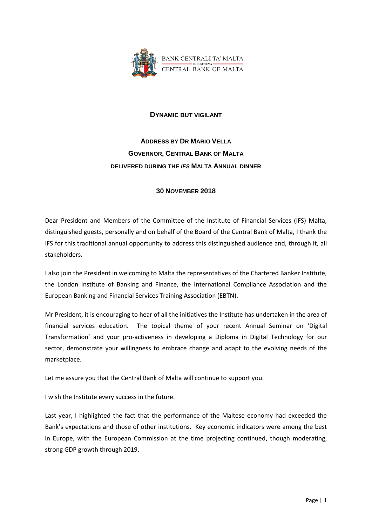

## **DYNAMIC BUT VIGILANT**

## **ADDRESS BY DR MARIO VELLA GOVERNOR, CENTRAL BANK OF MALTA DELIVERED DURING THE** *IFS* **MALTA ANNUAL DINNER**

## **30 NOVEMBER 2018**

Dear President and Members of the Committee of the Institute of Financial Services (IFS) Malta, distinguished guests, personally and on behalf of the Board of the Central Bank of Malta, I thank the IFS for this traditional annual opportunity to address this distinguished audience and, through it, all stakeholders.

I also join the President in welcoming to Malta the representatives of the Chartered Banker Institute, the London Institute of Banking and Finance, the International Compliance Association and the European Banking and Financial Services Training Association (EBTN).

Mr President, it is encouraging to hear of all the initiatives the Institute has undertaken in the area of financial services education. The topical theme of your recent Annual Seminar on 'Digital Transformation' and your pro-activeness in developing a Diploma in Digital Technology for our sector, demonstrate your willingness to embrace change and adapt to the evolving needs of the marketplace.

Let me assure you that the Central Bank of Malta will continue to support you.

I wish the Institute every success in the future.

Last year, I highlighted the fact that the performance of the Maltese economy had exceeded the Bank's expectations and those of other institutions. Key economic indicators were among the best in Europe, with the European Commission at the time projecting continued, though moderating, strong GDP growth through 2019.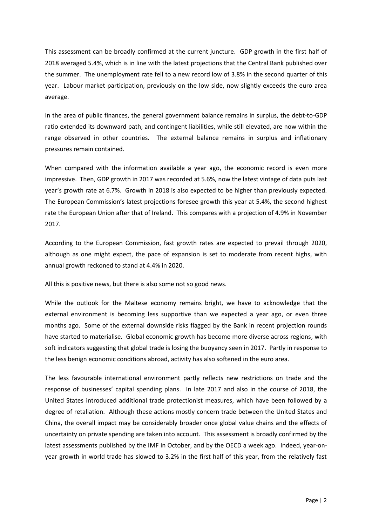This assessment can be broadly confirmed at the current juncture. GDP growth in the first half of 2018 averaged 5.4%, which is in line with the latest projections that the Central Bank published over the summer. The unemployment rate fell to a new record low of 3.8% in the second quarter of this year. Labour market participation, previously on the low side, now slightly exceeds the euro area average.

In the area of public finances, the general government balance remains in surplus, the debt-to-GDP ratio extended its downward path, and contingent liabilities, while still elevated, are now within the range observed in other countries. The external balance remains in surplus and inflationary pressures remain contained.

When compared with the information available a year ago, the economic record is even more impressive. Then, GDP growth in 2017 was recorded at 5.6%, now the latest vintage of data puts last year's growth rate at 6.7%. Growth in 2018 is also expected to be higher than previously expected. The European Commission's latest projections foresee growth this year at 5.4%, the second highest rate the European Union after that of Ireland. This compares with a projection of 4.9% in November 2017.

According to the European Commission, fast growth rates are expected to prevail through 2020, although as one might expect, the pace of expansion is set to moderate from recent highs, with annual growth reckoned to stand at 4.4% in 2020.

All this is positive news, but there is also some not so good news.

While the outlook for the Maltese economy remains bright, we have to acknowledge that the external environment is becoming less supportive than we expected a year ago, or even three months ago. Some of the external downside risks flagged by the Bank in recent projection rounds have started to materialise. Global economic growth has become more diverse across regions, with soft indicators suggesting that global trade is losing the buoyancy seen in 2017. Partly in response to the less benign economic conditions abroad, activity has also softened in the euro area.

The less favourable international environment partly reflects new restrictions on trade and the response of businesses' capital spending plans. In late 2017 and also in the course of 2018, the United States introduced additional trade protectionist measures, which have been followed by a degree of retaliation. Although these actions mostly concern trade between the United States and China, the overall impact may be considerably broader once global value chains and the effects of uncertainty on private spending are taken into account. This assessment is broadly confirmed by the latest assessments published by the IMF in October, and by the OECD a week ago. Indeed, year-onyear growth in world trade has slowed to 3.2% in the first half of this year, from the relatively fast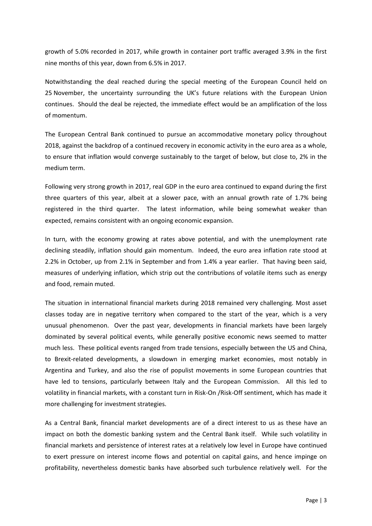growth of 5.0% recorded in 2017, while growth in container port traffic averaged 3.9% in the first nine months of this year, down from 6.5% in 2017.

Notwithstanding the deal reached during the special meeting of the European Council held on 25 November, the uncertainty surrounding the UK's future relations with the European Union continues. Should the deal be rejected, the immediate effect would be an amplification of the loss of momentum.

The European Central Bank continued to pursue an accommodative monetary policy throughout 2018, against the backdrop of a continued recovery in economic activity in the euro area as a whole, to ensure that inflation would converge sustainably to the target of below, but close to, 2% in the medium term.

Following very strong growth in 2017, real GDP in the euro area continued to expand during the first three quarters of this year, albeit at a slower pace, with an annual growth rate of 1.7% being registered in the third quarter. The latest information, while being somewhat weaker than expected, remains consistent with an ongoing economic expansion.

In turn, with the economy growing at rates above potential, and with the unemployment rate declining steadily, inflation should gain momentum. Indeed, the euro area inflation rate stood at 2.2% in October, up from 2.1% in September and from 1.4% a year earlier. That having been said, measures of underlying inflation, which strip out the contributions of volatile items such as energy and food, remain muted.

The situation in international financial markets during 2018 remained very challenging. Most asset classes today are in negative territory when compared to the start of the year, which is a very unusual phenomenon. Over the past year, developments in financial markets have been largely dominated by several political events, while generally positive economic news seemed to matter much less. These political events ranged from trade tensions, especially between the US and China, to Brexit-related developments, a slowdown in emerging market economies, most notably in Argentina and Turkey, and also the rise of populist movements in some European countries that have led to tensions, particularly between Italy and the European Commission. All this led to volatility in financial markets, with a constant turn in Risk-On /Risk-Off sentiment, which has made it more challenging for investment strategies.

As a Central Bank, financial market developments are of a direct interest to us as these have an impact on both the domestic banking system and the Central Bank itself. While such volatility in financial markets and persistence of interest rates at a relatively low level in Europe have continued to exert pressure on interest income flows and potential on capital gains, and hence impinge on profitability, nevertheless domestic banks have absorbed such turbulence relatively well. For the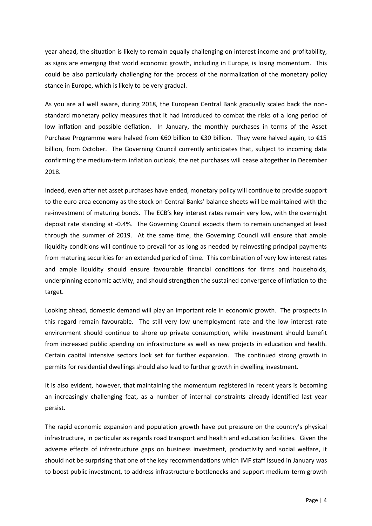year ahead, the situation is likely to remain equally challenging on interest income and profitability, as signs are emerging that world economic growth, including in Europe, is losing momentum. This could be also particularly challenging for the process of the normalization of the monetary policy stance in Europe, which is likely to be very gradual.

As you are all well aware, during 2018, the European Central Bank gradually scaled back the nonstandard monetary policy measures that it had introduced to combat the risks of a long period of low inflation and possible deflation. In January, the monthly purchases in terms of the Asset Purchase Programme were halved from €60 billion to €30 billion. They were halved again, to €15 billion, from October. The Governing Council currently anticipates that, subject to incoming data confirming the medium-term inflation outlook, the net purchases will cease altogether in December 2018.

Indeed, even after net asset purchases have ended, monetary policy will continue to provide support to the euro area economy as the stock on Central Banks' balance sheets will be maintained with the re-investment of maturing bonds. The ECB's key interest rates remain very low, with the overnight deposit rate standing at -0.4%. The Governing Council expects them to remain unchanged at least through the summer of 2019. At the same time, the Governing Council will ensure that ample liquidity conditions will continue to prevail for as long as needed by reinvesting principal payments from maturing securities for an extended period of time. This combination of very low interest rates and ample liquidity should ensure favourable financial conditions for firms and households, underpinning economic activity, and should strengthen the sustained convergence of inflation to the target.

Looking ahead, domestic demand will play an important role in economic growth. The prospects in this regard remain favourable. The still very low unemployment rate and the low interest rate environment should continue to shore up private consumption, while investment should benefit from increased public spending on infrastructure as well as new projects in education and health. Certain capital intensive sectors look set for further expansion. The continued strong growth in permits for residential dwellings should also lead to further growth in dwelling investment.

It is also evident, however, that maintaining the momentum registered in recent years is becoming an increasingly challenging feat, as a number of internal constraints already identified last year persist.

The rapid economic expansion and population growth have put pressure on the country's physical infrastructure, in particular as regards road transport and health and education facilities. Given the adverse effects of infrastructure gaps on business investment, productivity and social welfare, it should not be surprising that one of the key recommendations which IMF staff issued in January was to boost public investment, to address infrastructure bottlenecks and support medium-term growth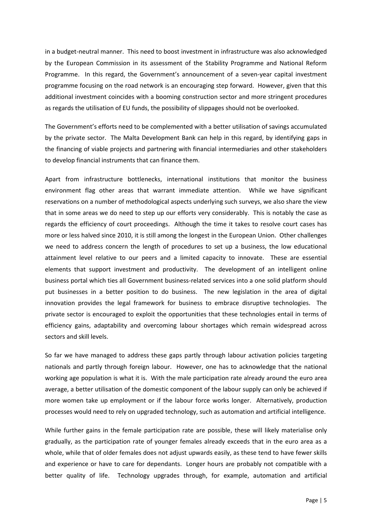in a budget-neutral manner. This need to boost investment in infrastructure was also acknowledged by the European Commission in its assessment of the Stability Programme and National Reform Programme. In this regard, the Government's announcement of a seven-year capital investment programme focusing on the road network is an encouraging step forward. However, given that this additional investment coincides with a booming construction sector and more stringent procedures as regards the utilisation of EU funds, the possibility of slippages should not be overlooked.

The Government's efforts need to be complemented with a better utilisation of savings accumulated by the private sector. The Malta Development Bank can help in this regard, by identifying gaps in the financing of viable projects and partnering with financial intermediaries and other stakeholders to develop financial instruments that can finance them.

Apart from infrastructure bottlenecks, international institutions that monitor the business environment flag other areas that warrant immediate attention. While we have significant reservations on a number of methodological aspects underlying such surveys, we also share the view that in some areas we do need to step up our efforts very considerably. This is notably the case as regards the efficiency of court proceedings. Although the time it takes to resolve court cases has more or less halved since 2010, it is still among the longest in the European Union. Other challenges we need to address concern the length of procedures to set up a business, the low educational attainment level relative to our peers and a limited capacity to innovate. These are essential elements that support investment and productivity. The development of an intelligent online business portal which ties all Government business-related services into a one solid platform should put businesses in a better position to do business. The new legislation in the area of digital innovation provides the legal framework for business to embrace disruptive technologies. The private sector is encouraged to exploit the opportunities that these technologies entail in terms of efficiency gains, adaptability and overcoming labour shortages which remain widespread across sectors and skill levels.

So far we have managed to address these gaps partly through labour activation policies targeting nationals and partly through foreign labour. However, one has to acknowledge that the national working age population is what it is. With the male participation rate already around the euro area average, a better utilisation of the domestic component of the labour supply can only be achieved if more women take up employment or if the labour force works longer. Alternatively, production processes would need to rely on upgraded technology, such as automation and artificial intelligence.

While further gains in the female participation rate are possible, these will likely materialise only gradually, as the participation rate of younger females already exceeds that in the euro area as a whole, while that of older females does not adjust upwards easily, as these tend to have fewer skills and experience or have to care for dependants. Longer hours are probably not compatible with a better quality of life. Technology upgrades through, for example, automation and artificial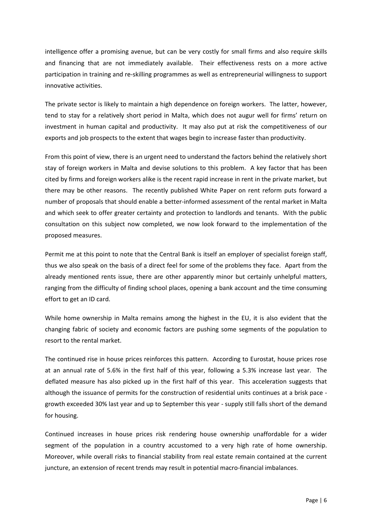intelligence offer a promising avenue, but can be very costly for small firms and also require skills and financing that are not immediately available. Their effectiveness rests on a more active participation in training and re-skilling programmes as well as entrepreneurial willingness to support innovative activities.

The private sector is likely to maintain a high dependence on foreign workers. The latter, however, tend to stay for a relatively short period in Malta, which does not augur well for firms' return on investment in human capital and productivity. It may also put at risk the competitiveness of our exports and job prospects to the extent that wages begin to increase faster than productivity.

From this point of view, there is an urgent need to understand the factors behind the relatively short stay of foreign workers in Malta and devise solutions to this problem. A key factor that has been cited by firms and foreign workers alike is the recent rapid increase in rent in the private market, but there may be other reasons. The recently published White Paper on rent reform puts forward a number of proposals that should enable a better-informed assessment of the rental market in Malta and which seek to offer greater certainty and protection to landlords and tenants. With the public consultation on this subject now completed, we now look forward to the implementation of the proposed measures.

Permit me at this point to note that the Central Bank is itself an employer of specialist foreign staff, thus we also speak on the basis of a direct feel for some of the problems they face. Apart from the already mentioned rents issue, there are other apparently minor but certainly unhelpful matters, ranging from the difficulty of finding school places, opening a bank account and the time consuming effort to get an ID card.

While home ownership in Malta remains among the highest in the EU, it is also evident that the changing fabric of society and economic factors are pushing some segments of the population to resort to the rental market.

The continued rise in house prices reinforces this pattern. According to Eurostat, house prices rose at an annual rate of 5.6% in the first half of this year, following a 5.3% increase last year. The deflated measure has also picked up in the first half of this year. This acceleration suggests that although the issuance of permits for the construction of residential units continues at a brisk pace growth exceeded 30% last year and up to September this year - supply still falls short of the demand for housing.

Continued increases in house prices risk rendering house ownership unaffordable for a wider segment of the population in a country accustomed to a very high rate of home ownership. Moreover, while overall risks to financial stability from real estate remain contained at the current juncture, an extension of recent trends may result in potential macro-financial imbalances.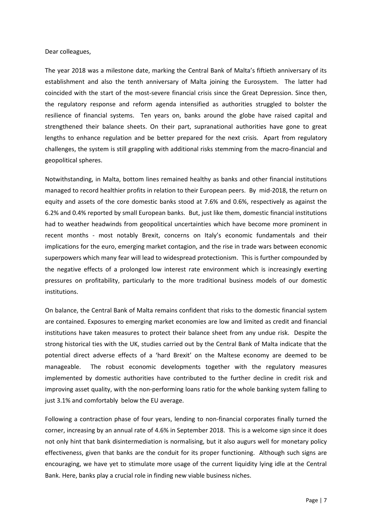## Dear colleagues,

The year 2018 was a milestone date, marking the Central Bank of Malta's fiftieth anniversary of its establishment and also the tenth anniversary of Malta joining the Eurosystem. The latter had coincided with the start of the most-severe financial crisis since the Great Depression. Since then, the regulatory response and reform agenda intensified as authorities struggled to bolster the resilience of financial systems. Ten years on, banks around the globe have raised capital and strengthened their balance sheets. On their part, supranational authorities have gone to great lengths to enhance regulation and be better prepared for the next crisis. Apart from regulatory challenges, the system is still grappling with additional risks stemming from the macro-financial and geopolitical spheres.

Notwithstanding, in Malta, bottom lines remained healthy as banks and other financial institutions managed to record healthier profits in relation to their European peers. By mid-2018, the return on equity and assets of the core domestic banks stood at 7.6% and 0.6%, respectively as against the 6.2% and 0.4% reported by small European banks. But, just like them, domestic financial institutions had to weather headwinds from geopolitical uncertainties which have become more prominent in recent months - most notably Brexit, concerns on Italy's economic fundamentals and their implications for the euro, emerging market contagion, and the rise in trade wars between economic superpowers which many fear will lead to widespread protectionism. This is further compounded by the negative effects of a prolonged low interest rate environment which is increasingly exerting pressures on profitability, particularly to the more traditional business models of our domestic institutions.

On balance, the Central Bank of Malta remains confident that risks to the domestic financial system are contained. Exposures to emerging market economies are low and limited as credit and financial institutions have taken measures to protect their balance sheet from any undue risk. Despite the strong historical ties with the UK, studies carried out by the Central Bank of Malta indicate that the potential direct adverse effects of a 'hard Brexit' on the Maltese economy are deemed to be manageable. The robust economic developments together with the regulatory measures implemented by domestic authorities have contributed to the further decline in credit risk and improving asset quality, with the non-performing loans ratio for the whole banking system falling to just 3.1% and comfortably below the EU average.

Following a contraction phase of four years, lending to non-financial corporates finally turned the corner, increasing by an annual rate of 4.6% in September 2018. This is a welcome sign since it does not only hint that bank disintermediation is normalising, but it also augurs well for monetary policy effectiveness, given that banks are the conduit for its proper functioning. Although such signs are encouraging, we have yet to stimulate more usage of the current liquidity lying idle at the Central Bank. Here, banks play a crucial role in finding new viable business niches.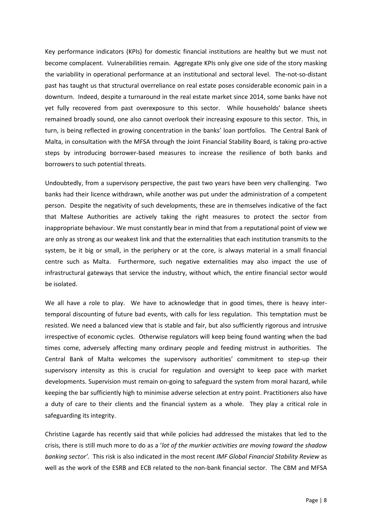Key performance indicators (KPIs) for domestic financial institutions are healthy but we must not become complacent. Vulnerabilities remain. Aggregate KPIs only give one side of the story masking the variability in operational performance at an institutional and sectoral level. The-not-so-distant past has taught us that structural overreliance on real estate poses considerable economic pain in a downturn. Indeed, despite a turnaround in the real estate market since 2014, some banks have not yet fully recovered from past overexposure to this sector. While households' balance sheets remained broadly sound, one also cannot overlook their increasing exposure to this sector. This, in turn, is being reflected in growing concentration in the banks' loan portfolios. The Central Bank of Malta, in consultation with the MFSA through the Joint Financial Stability Board, is taking pro-active steps by introducing borrower-based measures to increase the resilience of both banks and borrowers to such potential threats.

Undoubtedly, from a supervisory perspective, the past two years have been very challenging. Two banks had their licence withdrawn, while another was put under the administration of a competent person. Despite the negativity of such developments, these are in themselves indicative of the fact that Maltese Authorities are actively taking the right measures to protect the sector from inappropriate behaviour. We must constantly bear in mind that from a reputational point of view we are only as strong as our weakest link and that the externalities that each institution transmits to the system, be it big or small, in the periphery or at the core, is always material in a small financial centre such as Malta. Furthermore, such negative externalities may also impact the use of infrastructural gateways that service the industry, without which, the entire financial sector would be isolated.

We all have a role to play. We have to acknowledge that in good times, there is heavy intertemporal discounting of future bad events, with calls for less regulation. This temptation must be resisted. We need a balanced view that is stable and fair, but also sufficiently rigorous and intrusive irrespective of economic cycles. Otherwise regulators will keep being found wanting when the bad times come, adversely affecting many ordinary people and feeding mistrust in authorities. The Central Bank of Malta welcomes the supervisory authorities' commitment to step-up their supervisory intensity as this is crucial for regulation and oversight to keep pace with market developments. Supervision must remain on-going to safeguard the system from moral hazard, while keeping the bar sufficiently high to minimise adverse selection at entry point. Practitioners also have a duty of care to their clients and the financial system as a whole. They play a critical role in safeguarding its integrity.

Christine Lagarde has recently said that while policies had addressed the mistakes that led to the crisis, there is still much more to do as a '*lot of the murkier activities are moving toward the shadow banking sector'.* This risk is also indicated in the most recent *IMF Global Financial Stability Review* as well as the work of the ESRB and ECB related to the non-bank financial sector. The CBM and MFSA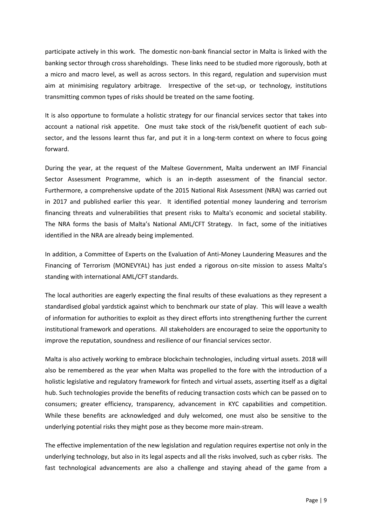participate actively in this work. The domestic non-bank financial sector in Malta is linked with the banking sector through cross shareholdings. These links need to be studied more rigorously, both at a micro and macro level, as well as across sectors. In this regard, regulation and supervision must aim at minimising regulatory arbitrage. Irrespective of the set-up, or technology, institutions transmitting common types of risks should be treated on the same footing.

It is also opportune to formulate a holistic strategy for our financial services sector that takes into account a national risk appetite. One must take stock of the risk/benefit quotient of each subsector, and the lessons learnt thus far, and put it in a long-term context on where to focus going forward.

During the year, at the request of the Maltese Government, Malta underwent an IMF Financial Sector Assessment Programme, which is an in-depth assessment of the financial sector. Furthermore, a comprehensive update of the 2015 National Risk Assessment (NRA) was carried out in 2017 and published earlier this year. It identified potential money laundering and terrorism financing threats and vulnerabilities that present risks to Malta's economic and societal stability. The NRA forms the basis of Malta's National AML/CFT Strategy. In fact, some of the initiatives identified in the NRA are already being implemented.

In addition, a Committee of Experts on the Evaluation of Anti-Money Laundering Measures and the Financing of Terrorism (MONEVYAL) has just ended a rigorous on-site mission to assess Malta's standing with international AML/CFT standards.

The local authorities are eagerly expecting the final results of these evaluations as they represent a standardised global yardstick against which to benchmark our state of play. This will leave a wealth of information for authorities to exploit as they direct efforts into strengthening further the current institutional framework and operations. All stakeholders are encouraged to seize the opportunity to improve the reputation, soundness and resilience of our financial services sector.

Malta is also actively working to embrace blockchain technologies, including virtual assets. 2018 will also be remembered as the year when Malta was propelled to the fore with the introduction of a holistic legislative and regulatory framework for fintech and virtual assets, asserting itself as a digital hub. Such technologies provide the benefits of reducing transaction costs which can be passed on to consumers; greater efficiency, transparency, advancement in KYC capabilities and competition. While these benefits are acknowledged and duly welcomed, one must also be sensitive to the underlying potential risks they might pose as they become more main-stream.

The effective implementation of the new legislation and regulation requires expertise not only in the underlying technology, but also in its legal aspects and all the risks involved, such as cyber risks. The fast technological advancements are also a challenge and staying ahead of the game from a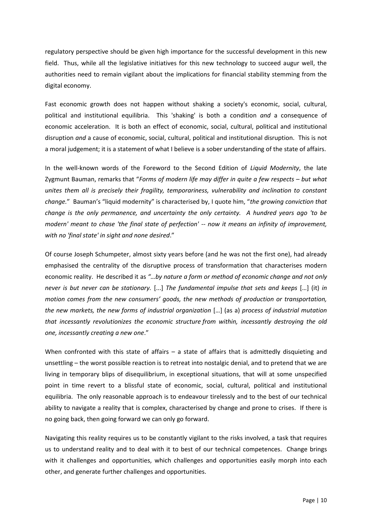regulatory perspective should be given high importance for the successful development in this new field. Thus, while all the legislative initiatives for this new technology to succeed augur well, the authorities need to remain vigilant about the implications for financial stability stemming from the digital economy.

Fast economic growth does not happen without shaking a society's economic, social, cultural, political and institutional equilibria. This 'shaking' is both a condition *and* a consequence of economic acceleration. It is both an effect of economic, social, cultural, political and institutional disruption *and* a cause of economic, social, cultural, political and institutional disruption. This is not a moral judgement; it is a statement of what I believe is a sober understanding of the state of affairs.

In the well-known words of the Foreword to the Second Edition of *Liquid Modernity*, the late Zygmunt Bauman, remarks that "*Forms of modern life may differ in quite a few respects – but what unites them all is precisely their fragility, temporariness, vulnerability and inclination to constant change.*" Bauman's "liquid modernity" is characterised by, I quote him, "*the growing conviction that change is the only permanence, and uncertainty the only certainty. A hundred years ago 'to be modern' meant to chase 'the final state of perfection' -- now it means an infinity of improvement, with no 'final state' in sight and none desired*."

Of course Joseph Schumpeter, almost sixty years before (and he was not the first one), had already emphasised the centrality of the disruptive process of transformation that characterises modern economic reality. He described it as *"…by nature a form or method of economic change and not only never is but never can be stationary.* [...] *The fundamental impulse that sets and keeps* […] (it) *in motion comes from the new consumers' goods, the new methods of production or transportation, the new markets, the new forms of industrial organization* […] (as a) *process of industrial mutation that incessantly revolutionizes the economic structure from within, incessantly destroying the old one, incessantly creating a new one*."

When confronted with this state of affairs – a state of affairs that is admittedly disquieting and unsettling – the worst possible reaction is to retreat into nostalgic denial, and to pretend that we are living in temporary blips of disequilibrium, in exceptional situations, that will at some unspecified point in time revert to a blissful state of economic, social, cultural, political and institutional equilibria. The only reasonable approach is to endeavour tirelessly and to the best of our technical ability to navigate a reality that is complex, characterised by change and prone to crises. If there is no going back, then going forward we can only go forward.

Navigating this reality requires us to be constantly vigilant to the risks involved, a task that requires us to understand reality and to deal with it to best of our technical competences. Change brings with it challenges and opportunities, which challenges and opportunities easily morph into each other, and generate further challenges and opportunities.